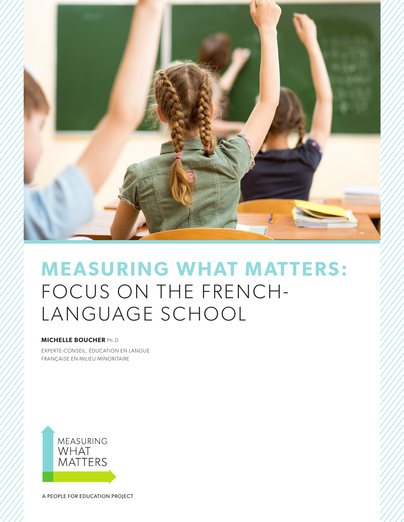

# **MEASURING WHAT MATTERS:** FOCUS ON THE FRENCH-LANGUAGE SCHOOL

# **MICHELLE BOUCHER** Ph.D

EXPERTE-CONSEIL, ÉDUCATION EN LANGUE FRANÇAISE EN MILIEU MINORITAIRE



A PEOPLE FOR EDUCATION PROJECT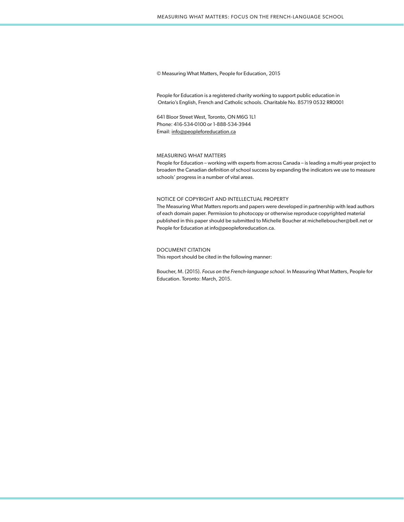© Measuring What Matters, People for Education, 2015

People for Education is a registered charity working to support public education in Ontario's English, French and Catholic schools. Charitable No. 85719 0532 RR0001

641 Bloor Street West, Toronto, ON M6G 1L1 Phone: 416-534-0100 or 1-888-534-3944 Email: info@peopleforeducation.ca

#### MEASURING WHAT MATTERS

People for Education – working with experts from across Canada – is leading a multi-year project to broaden the Canadian definition of school success by expanding the indicators we use to measure schools' progress in a number of vital areas.

#### NOTICE OF COPYRIGHT AND INTELLECTUAL PROPERTY

The Measuring What Matters reports and papers were developed in partnership with lead authors of each domain paper. Permission to photocopy or otherwise reproduce copyrighted material published in this paper should be submitted to Michelle Boucher at michelleboucher@bell.net or People for Education at info@peopleforeducation.ca.

## DOCUMENT CITATION

This report should be cited in the following manner:

Boucher, M. (2015). *Focus on the French-language school*. In Measuring What Matters, People for Education. Toronto: March, 2015.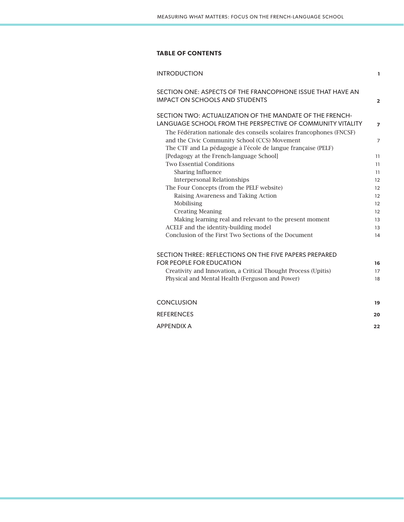# **TABLE OF CONTENTS**

| <b>INTRODUCTION</b>                                                                                                                                                                            | ı              |
|------------------------------------------------------------------------------------------------------------------------------------------------------------------------------------------------|----------------|
| SECTION ONE: ASPECTS OF THE FRANCOPHONE ISSUE THAT HAVE AN<br><b>IMPACT ON SCHOOLS AND STUDENTS</b>                                                                                            | $\overline{2}$ |
| SECTION TWO: ACTUALIZATION OF THE MANDATE OF THE FRENCH-<br>LANGUAGE SCHOOL FROM THE PERSPECTIVE OF COMMUNITY VITALITY<br>The Fédération nationale des conseils scolaires francophones (FNCSF) | $\overline{7}$ |
| and the Civic Community School (CCS) Movement                                                                                                                                                  | 7              |
| The CTF and La pédagogie à l'école de langue française (PELF)                                                                                                                                  |                |
| [Pedagogy at the French-language School]                                                                                                                                                       | 11             |
| <b>Two Essential Conditions</b>                                                                                                                                                                | 11             |
| Sharing Influence                                                                                                                                                                              | 11             |
| <b>Interpersonal Relationships</b>                                                                                                                                                             | 12             |
| The Four Concepts (from the PELF website)                                                                                                                                                      | 12             |
| Raising Awareness and Taking Action                                                                                                                                                            | 12             |
| Mobilising                                                                                                                                                                                     | 12             |
| <b>Creating Meaning</b>                                                                                                                                                                        | 12             |
| Making learning real and relevant to the present moment<br>ACELF and the identity-building model                                                                                               | 13<br>13       |
| Conclusion of the First Two Sections of the Document                                                                                                                                           | 14             |
|                                                                                                                                                                                                |                |
| SECTION THREE: REFLECTIONS ON THE FIVE PAPERS PREPARED                                                                                                                                         |                |
| <b>FOR PEOPLE FOR EDUCATION</b>                                                                                                                                                                | 16             |
| Creativity and Innovation, a Critical Thought Process (Upitis)                                                                                                                                 | 17             |
| Physical and Mental Health (Ferguson and Power)                                                                                                                                                | 18             |
|                                                                                                                                                                                                |                |
| <b>CONCLUSION</b>                                                                                                                                                                              | 19             |
|                                                                                                                                                                                                |                |
| <b>REFERENCES</b>                                                                                                                                                                              | 20             |
| <b>APPENDIX A</b>                                                                                                                                                                              | 22             |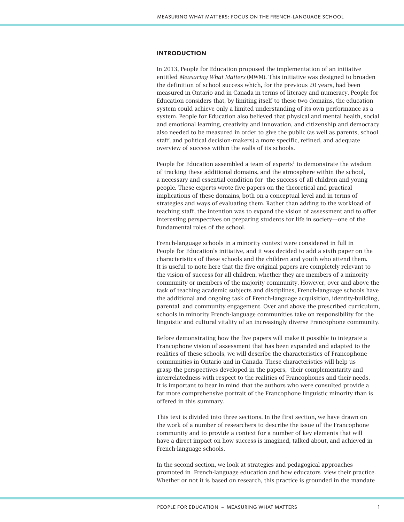#### **INTRODUCTION**

In 2013, People for Education proposed the implementation of an initiative entitled *Measuring What Matters* (MWM). This initiative was designed to broaden the definition of school success which, for the previous 20 years, had been measured in Ontario and in Canada in terms of literacy and numeracy. People for Education considers that, by limiting itself to these two domains, the education system could achieve only a limited understanding of its own performance as a system. People for Education also believed that physical and mental health, social and emotional learning, creativity and innovation, and citizenship and democracy also needed to be measured in order to give the public (as well as parents, school staff, and political decision-makers) a more specific, refined, and adequate overview of success within the walls of its schools.

People for Education assembled a team of  $exports<sup>1</sup>$  to demonstrate the wisdom of tracking these additional domains, and the atmosphere within the school, a necessary and essential condition for the success of all children and young people. These experts wrote five papers on the theoretical and practical implications of these domains, both on a conceptual level and in terms of strategies and ways of evaluating them. Rather than adding to the workload of teaching staff, the intention was to expand the vision of assessment and to offer interesting perspectives on preparing students for life in society—one of the fundamental roles of the school.

French-language schools in a minority context were considered in full in People for Education's initiative, and it was decided to add a sixth paper on the characteristics of these schools and the children and youth who attend them. It is useful to note here that the five original papers are completely relevant to the vision of success for all children, whether they are members of a minority community or members of the majority community. However, over and above the task of teaching academic subjects and disciplines, French-language schools have the additional and ongoing task of French-language acquisition, identity-building, parental and community engagement. Over and above the prescribed curriculum, schools in minority French-language communities take on responsibility for the linguistic and cultural vitality of an increasingly diverse Francophone community.

Before demonstrating how the five papers will make it possible to integrate a Francophone vision of assessment that has been expanded and adapted to the realities of these schools, we will describe the characteristics of Francophone communities in Ontario and in Canada. These characteristics will help us grasp the perspectives developed in the papers, their complementarity and interrelatedness with respect to the realities of Francophones and their needs. It is important to bear in mind that the authors who were consulted provide a far more comprehensive portrait of the Francophone linguistic minority than is offered in this summary.

This text is divided into three sections. In the first section, we have drawn on the work of a number of researchers to describe the issue of the Francophone community and to provide a context for a number of key elements that will have a direct impact on how success is imagined, talked about, and achieved in French-language schools.

In the second section, we look at strategies and pedagogical approaches promoted in French-language education and how educators view their practice. Whether or not it is based on research, this practice is grounded in the mandate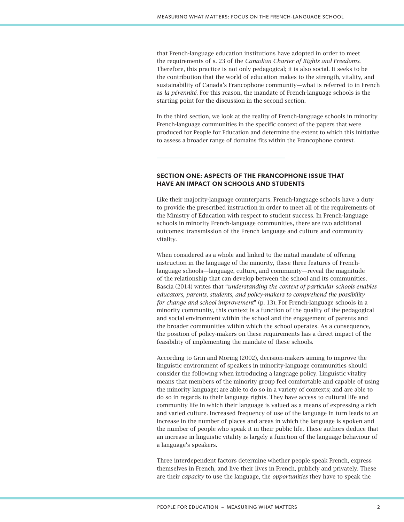that French-language education institutions have adopted in order to meet the requirements of s. 23 of the *Canadian Charter of Rights and Freedoms.*  Therefore, this practice is not only pedagogical; it is also social. It seeks to be the contribution that the world of education makes to the strength, vitality, and sustainability of Canada's Francophone community—what is referred to in French as *la pérennité*. For this reason, the mandate of French-language schools is the starting point for the discussion in the second section.

In the third section, we look at the reality of French-language schools in minority French-language communities in the specific context of the papers that were produced for People for Education and determine the extent to which this initiative to assess a broader range of domains fits within the Francophone context.

# **SECTION ONE: ASPECTS OF THE FRANCOPHONE ISSUE THAT HAVE AN IMPACT ON SCHOOLS AND STUDENTS**

Like their majority-language counterparts, French-language schools have a duty to provide the prescribed instruction in order to meet all of the requirements of the Ministry of Education with respect to student success. In French-language schools in minority French-language communities, there are two additional outcomes: transmission of the French language and culture and community vitality.

When considered as a whole and linked to the initial mandate of offering instruction in the language of the minority, these three features of Frenchlanguage schools—language, culture, and community—reveal the magnitude of the relationship that can develop between the school and its communities. Bascia (2014) writes that "*understanding the context of particular schools enables educators, parents, students, and policy-makers to comprehend the possibility for change and school improvement*" (p. 13). For French-language schools in a minority community, this context is a function of the quality of the pedagogical and social environment within the school and the engagement of parents and the broader communities within which the school operates. As a consequence, the position of policy-makers on these requirements has a direct impact of the feasibility of implementing the mandate of these schools.

According to Grin and Moring (2002), decision-makers aiming to improve the linguistic environment of speakers in minority-language communities should consider the following when introducing a language policy. Linguistic vitality means that members of the minority group feel comfortable and capable of using the minority language; are able to do so in a variety of contexts; and are able to do so in regards to their language rights. They have access to cultural life and community life in which their language is valued as a means of expressing a rich and varied culture. Increased frequency of use of the language in turn leads to an increase in the number of places and areas in which the language is spoken and the number of people who speak it in their public life. These authors deduce that an increase in linguistic vitality is largely a function of the language behaviour of a language's speakers.

Three interdependent factors determine whether people speak French, express themselves in French, and live their lives in French, publicly and privately. These are their *capacity* to use the language, the *opportunities* they have to speak the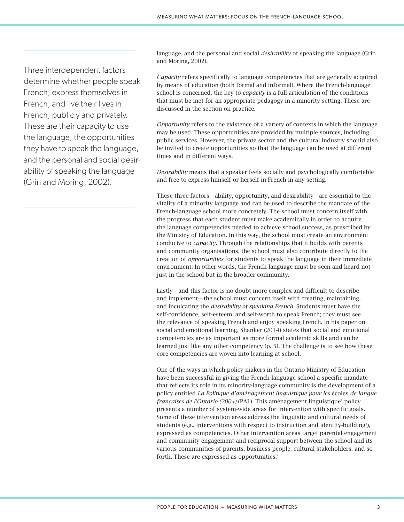Three interdependent factors determine whether people speak French, express themselves in French, and live their lives in French, publicly and privately. These are their capacity to use the language, the opportunities they have to speak the language, and the personal and social desirability of speaking the language (Grin and Moring, 2002).

language, and the personal and social *desirability* of speaking the language (Grin and Moring, 2002).

*Capacity* refers specifically to language competencies that are generally acquired by means of education (both formal and informal). Where the French-language school is concerned, the key to *capacity* is a full articulation of the conditions that must be met for an appropriate pedagogy in a minority setting. These are discussed in the section on practice.

*Opportunity* refers to the existence of a variety of contexts in which the language may be used. These opportunities are provided by multiple sources, including public services. However, the private sector and the cultural industry should also be invited to create opportunities so that the language can be used at different times and in different ways.

*Desirability* means that a speaker feels socially and psychologically comfortable and free to express himself or herself in French in any setting.

These three factors—ability, opportunity, and desirability—are essential to the vitality of a minority language and can be used to describe the mandate of the French-language school more concretely. The school must concern itself with the progress that each student must make academically in order to acquire the language competencies needed to achieve school success, as prescribed by the Ministry of Education. In this way, the school must create an environment conducive to *capacity.* Through the relationships that it builds with parents and community organisations, the school must also contribute directly to the creation of *opportunities* for students to speak the language in their immediate environment. In other words, the French language must be seen and heard not just in the school but in the broader community.

Lastly—and this factor is no doubt more complex and difficult to describe and implement—the school must concern itself with creating, maintaining, and inculcating the *desirability of speaking French*. Students must have the self-confidence, self-esteem, and self-worth to speak French; they must see the relevance of speaking French and enjoy speaking French. In his paper on social and emotional learning, Shanker (2014) states that social and emotional competencies are as important as more formal academic skills and can be learned just like any other competency (p. 5). The challenge is to see how these core competencies are woven into learning at school.

One of the ways in which policy-makers in the Ontario Ministry of Education have been successful in giving the French-language school a specific mandate that reflects its role in its minority-language community is the development of a policy entitled *La Politique d'aménagement linguistique pour les* écoles *de langue françaises de l'Ontario (2004)* (PAL). This aménagement linguistique<sup>2</sup> policy presents a number of system-wide areas for intervention with specific goals. Some of these intervention areas address the linguistic and cultural needs of students (e.g., interventions with respect to instruction and identity-building<sup>3</sup>), expressed as competencies. Other intervention areas target parental engagement and community engagement and reciprocal support between the school and its various communities of parents, business people, cultural stakeholders, and so forth. These are expressed as opportunities.<sup>4</sup>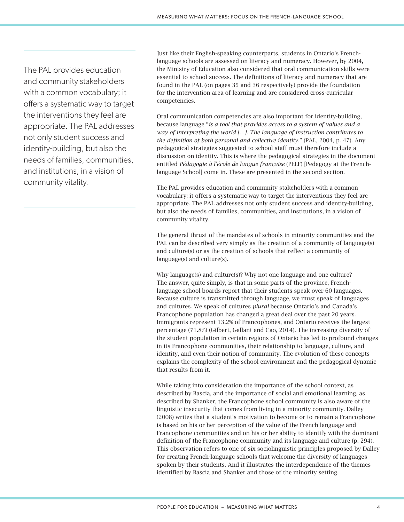The PAL provides education and community stakeholders with a common vocabulary; it offers a systematic way to target the interventions they feel are appropriate. The PAL addresses not only student success and identity-building, but also the needs of families, communities, and institutions, in a vision of community vitality.

Just like their English-speaking counterparts, students in Ontario's Frenchlanguage schools are assessed on literacy and numeracy. However, by 2004, the Ministry of Education also considered that oral communication skills were essential to school success. The definitions of literacy and numeracy that are found in the PAL (on pages 35 and 36 respectively) provide the foundation for the intervention area of learning and are considered cross-curricular competencies.

Oral communication competencies are also important for identity-building, because language "*is a tool that provides access to a system of values and a way of interpreting the world […]. The language of instruction contributes to the definition of both personal and collective identity*." (PAL, 2004, p. 47). Any pedagogical strategies suggested to school staff must therefore include a discussion on identity. This is where the pedagogical strategies in the document entitled *Pédagogie à l'école de langue française* (PELF) [Pedagogy at the Frenchlanguage School] come in. These are presented in the second section.

The PAL provides education and community stakeholders with a common vocabulary; it offers a systematic way to target the interventions they feel are appropriate. The PAL addresses not only student success and identity-building, but also the needs of families, communities, and institutions, in a vision of community vitality.

The general thrust of the mandates of schools in minority communities and the PAL can be described very simply as the creation of a community of language(s) and culture(s) or as the creation of schools that reflect a community of language(s) and culture(s).

Why language(s) and culture(s)? Why not one language and one culture? The answer, quite simply, is that in some parts of the province, Frenchlanguage school boards report that their students speak over 60 languages. Because culture is transmitted through language, we must speak of languages and cultures. We speak of cultures *plural* because Ontario's and Canada's Francophone population has changed a great deal over the past 20 years. Immigrants represent 13.2% of Francophones, and Ontario receives the largest percentage (71.8%) (Gilbert, Gallant and Cao, 2014). The increasing diversity of the student population in certain regions of Ontario has led to profound changes in its Francophone communities, their relationship to language, culture, and identity, and even their notion of community. The evolution of these concepts explains the complexity of the school environment and the pedagogical dynamic that results from it.

While taking into consideration the importance of the school context, as described by Bascia, and the importance of social and emotional learning, as described by Shanker, the Francophone school community is also aware of the linguistic insecurity that comes from living in a minority community. Dalley (2008) writes that a student's motivation to become or to remain a Francophone is based on his or her perception of the value of the French language and Francophone communities and on his or her ability to identify with the dominant definition of the Francophone community and its language and culture (p. 294). This observation refers to one of six sociolinguistic principles proposed by Dalley for creating French-language schools that welcome the diversity of languages spoken by their students. And it illustrates the interdependence of the themes identified by Bascia and Shanker and those of the minority setting.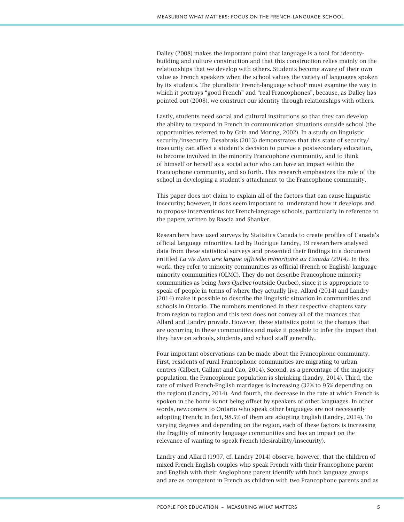Dalley (2008) makes the important point that language is a tool for identitybuilding and culture construction and that this construction relies mainly on the relationships that we develop with others. Students become aware of their own value as French speakers when the school values the variety of languages spoken by its students. The pluralistic French-language school<sup>5</sup> must examine the way in which it portrays "good French" and "real Francophones", because, as Dalley has pointed out (2008), we construct our identity through relationships with others.

Lastly, students need social and cultural institutions so that they can develop the ability to respond in French in communication situations outside school (the opportunities referred to by Grin and Moring, 2002). In a study on linguistic security/insecurity, Desabrais (2013) demonstrates that this state of security/ insecurity can affect a student's decision to pursue a postsecondary education, to become involved in the minority Francophone community, and to think of himself or herself as a social actor who can have an impact within the Francophone community, and so forth. This research emphasizes the role of the school in developing a student's attachment to the Francophone community.

This paper does not claim to explain all of the factors that can cause linguistic insecurity; however, it does seem important to understand how it develops and to propose interventions for French-language schools, particularly in reference to the papers written by Bascia and Shanker.

Researchers have used surveys by Statistics Canada to create profiles of Canada's official language minorities. Led by Rodrigue Landry, 19 researchers analysed data from these statistical surveys and presented their findings in a document entitled *La vie dans une langue officielle minoritaire au Canada (2014).* In this work, they refer to minority communities as official (French or English) language minority communities (OLMC). They do not describe Francophone minority communities as being *hors-Québec* (outside Quebec), since it is appropriate to speak of people in terms of where they actually live. Allard (2014) and Landry (2014) make it possible to describe the linguistic situation in communities and schools in Ontario. The numbers mentioned in their respective chapters vary from region to region and this text does not convey all of the nuances that Allard and Landry provide. However, these statistics point to the changes that are occurring in these communities and make it possible to infer the impact that they have on schools, students, and school staff generally.

Four important observations can be made about the Francophone community. First, residents of rural Francophone communities are migrating to urban centres (Gilbert, Gallant and Cao, 2014). Second, as a percentage of the majority population, the Francophone population is shrinking (Landry, 2014). Third, the rate of mixed French-English marriages is increasing (32% to 95% depending on the region) (Landry, 2014). And fourth, the decrease in the rate at which French is spoken in the home is not being offset by speakers of other languages. In other words, newcomers to Ontario who speak other languages are not necessarily adopting French; in fact, 98.5% of them are adopting English (Landry, 2014). To varying degrees and depending on the region, each of these factors is increasing the fragility of minority language communities and has an impact on the relevance of wanting to speak French (desirability/insecurity).

Landry and Allard (1997, cf. Landry 2014) observe, however, that the children of mixed French-English couples who speak French with their Francophone parent and English with their Anglophone parent identify with both language groups and are as competent in French as children with two Francophone parents and as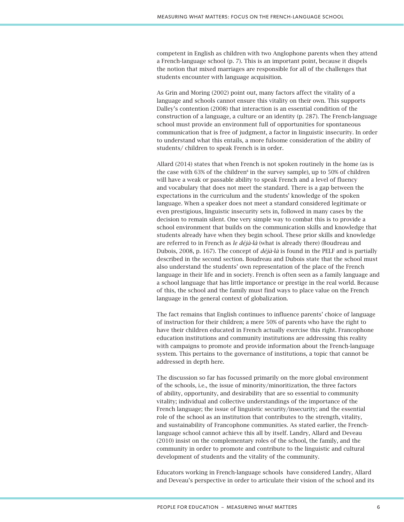competent in English as children with two Anglophone parents when they attend a French-language school (p. 7). This is an important point, because it dispels the notion that mixed marriages are responsible for all of the challenges that students encounter with language acquisition.

As Grin and Moring (2002) point out, many factors affect the vitality of a language and schools cannot ensure this vitality on their own. This supports Dalley's contention (2008) that interaction is an essential condition of the construction of a language, a culture or an identity (p. 287). The French-language school must provide an environment full of opportunities for spontaneous communication that is free of judgment, a factor in linguistic insecurity. In order to understand what this entails, a more fulsome consideration of the ability of students/ children to speak French is in order.

Allard (2014) states that when French is not spoken routinely in the home (as is the case with  $63\%$  of the children<sup>6</sup> in the survey sample), up to  $50\%$  of children will have a weak or passable ability to speak French and a level of fluency and vocabulary that does not meet the standard. There is a gap between the expectations in the curriculum and the students' knowledge of the spoken language. When a speaker does not meet a standard considered legitimate or even prestigious, linguistic insecurity sets in, followed in many cases by the decision to remain silent. One very simple way to combat this is to provide a school environment that builds on the communication skills and knowledge that students already have when they begin school. These prior skills and knowledge are referred to in French as *le déjà-là* (what is already there) (Boudreau and Dubois, 2008, p. 167). The concept of *déjà-là* is found in the PELF and is partially described in the second section. Boudreau and Dubois state that the school must also understand the students' own representation of the place of the French language in their life and in society. French is often seen as a family language and a school language that has little importance or prestige in the real world. Because of this, the school and the family must find ways to place value on the French language in the general context of globalization.

The fact remains that English continues to influence parents' choice of language of instruction for their children; a mere 50% of parents who have the right to have their children educated in French actually exercise this right. Francophone education institutions and community institutions are addressing this reality with campaigns to promote and provide information about the French-language system. This pertains to the governance of institutions, a topic that cannot be addressed in depth here.

The discussion so far has focussed primarily on the more global environment of the schools, i.e., the issue of minority/minoritization, the three factors of ability, opportunity, and desirability that are so essential to community vitality; individual and collective understandings of the importance of the French language; the issue of linguistic security/insecurity; and the essential role of the school as an institution that contributes to the strength, vitality, and sustainability of Francophone communities. As stated earlier, the Frenchlanguage school cannot achieve this all by itself. Landry, Allard and Deveau (2010) insist on the complementary roles of the school, the family, and the community in order to promote and contribute to the linguistic and cultural development of students and the vitality of the community.

Educators working in French-language schools have considered Landry, Allard and Deveau's perspective in order to articulate their vision of the school and its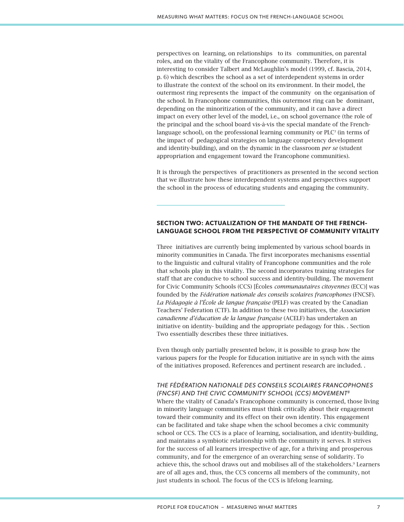perspectives on learning, on relationships to its communities, on parental roles, and on the vitality of the Francophone community. Therefore, it is interesting to consider Talbert and McLaughlin's model (1999, cf. Bascia, 2014, p. 6) which describes the school as a set of interdependent systems in order to illustrate the context of the school on its environment. In their model, the outermost ring represents the impact of the community on the organisation of the school. In Francophone communities, this outermost ring can be dominant, depending on the minoritization of the community, and it can have a direct impact on every other level of the model, i.e., on school governance (the role of the principal and the school board vis-à-vis the special mandate of the Frenchlanguage school), on the professional learning community or PLC<sup>7</sup> (in terms of the impact of pedagogical strategies on language competency development and identity-building), and on the dynamic in the classroom *per se* (student appropriation and engagement toward the Francophone communities).

It is through the perspectives of practitioners as presented in the second section that we illustrate how these interdependent systems and perspectives support the school in the process of educating students and engaging the community.

# **SECTION TWO: ACTUALIZATION OF THE MANDATE OF THE FRENCH-LANGUAGE SCHOOL FROM THE PERSPECTIVE OF COMMUNITY VITALITY**

Three initiatives are currently being implemented by various school boards in minority communities in Canada. The first incorporates mechanisms essential to the linguistic and cultural vitality of Francophone communities and the role that schools play in this vitality. The second incorporates training strategies for staff that are conducive to school success and identity-building. The movement for Civic Community Schools (CCS) [Écoles *communautaires citoyennes* (ECC)] was founded by the *Fédération nationale des conseils scolaires francophones* (FNCSF). *La Pédagogie à l'École de langue française* (PELF) was created by the Canadian Teachers' Federation (CTF). In addition to these two initiatives, the *Association canadienne d'éducation de la langue française* (ACELF) has undertaken an initiative on identity- building and the appropriate pedagogy for this. . Section Two essentially describes these three initiatives.

Even though only partially presented below, it is possible to grasp how the various papers for the People for Education initiative are in synch with the aims of the initiatives proposed. References and pertinent research are included. .

## *THE FÉDÉRATION NATIONALE DES CONSEILS SCOLAIRES FRANCOPHONES (FNCSF) AND THE CIVIC COMMUNITY SCHOOL (CCS) MOVEMENT8*

Where the vitality of Canada's Francophone community is concerned, those living in minority language communities must think critically about their engagement toward their community and its effect on their own identity. This engagement can be facilitated and take shape when the school becomes a civic community school or CCS. The CCS is a place of learning, socialisation, and identity-building, and maintains a symbiotic relationship with the community it serves. It strives for the success of all learners irrespective of age, for a thriving and prosperous community, and for the emergence of an overarching sense of solidarity. To achieve this, the school draws out and mobilises all of the stakeholders.<sup>9</sup> Learners are of all ages and, thus, the CCS concerns all members of the community, not just students in school. The focus of the CCS is lifelong learning.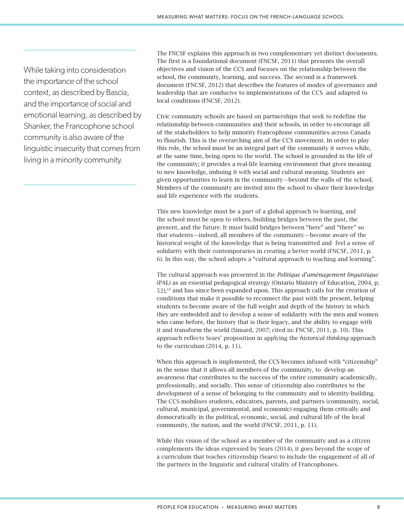While taking into consideration the importance of the school context, as described by Bascia, and the importance of social and emotional learning, as described by Shanker, the Francophone school community is also aware of the linguistic insecurity that comes from living in a minority community.

The FNCSF explains this approach in two complementary yet distinct documents. The first is a foundational document (FNCSF, 2011) that presents the overall objectives and vision of the CCS and focuses on the relationship between the school, the community, learning, and success. The second is a framework document (FNCSF, 2012) that describes the features of modes of governance and leadership that are conducive to implementations of the CCS and adapted to local conditions (FNCSF, 2012).

Civic community schools are based on partnerships that seek to redefine the relationship between communities and their schools, in order to encourage all of the stakeholders to help minority Francophone communities across Canada to flourish. This is the overarching aim of the CCS movement. In order to play this role, the school must be an integral part of the community it serves while, at the same time, being open to the world. The school is grounded in the life of the community; it provides a real-life learning environment that gives meaning to new knowledge, imbuing it with social and cultural meaning. Students are given opportunities to learn in the community—beyond the walls of the school. Members of the community are invited into the school to share their knowledge and life experience with the students.

This new knowledge must be a part of a global approach to learning, and the school must be open to others, building bridges between the past, the present, and the future. It must build bridges between "here" and "there" so that students—indeed, all members of the community—become aware of the historical weight of the knowledge that is being transmitted and feel a sense of solidarity with their contemporaries in creating a better world (FNCSF, 2011, p. 6). In this way, the school adopts a "cultural approach to teaching and learning".

The cultural approach was presented in the *Politique d'aménagement linguistique* (PAL) as an essential pedagogical strategy (Ontario Ministry of Education, 2004, p.  $52$ ),<sup>10</sup> and has since been expanded upon. This approach calls for the creation of conditions that make it possible to reconnect the past with the present, helping students to become aware of the full weight and depth of the history in which they are embedded and to develop a sense of solidarity with the men and women who came before, the history that is their legacy, and the ability to engage with it and transform the world (Simard, 2007; cited in: FNCSF, 2011, p. 10). This approach reflects Sears' proposition in applying the *historical thinking* approach to the curriculum (2014, p. 11).

When this approach is implemented, the CCS becomes infused with "citizenship" in the sense that it allows all members of the community, to develop an awareness that contributes to the success of the entire community academically, professionally, and socially. This sense of citizenship also contributes to the development of a sense of belonging to the community and to identity-building. The CCS mobilises students, educators, parents, and partners (community, social, cultural, municipal, governmental, and economic) engaging them critically and democratically in the political, economic, social, and cultural life of the local community, the nation, and the world (FNCSF, 2011, p. 11).

While this vision of the school as a member of the community and as a citizen complements the ideas expressed by Sears (2014), it goes beyond the scope of a curriculum that teaches citizenship (Sears) to include the engagement of all of the partners in the linguistic and cultural vitality of Francophones.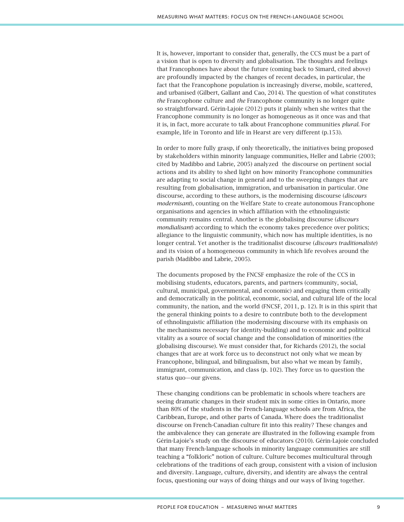It is, however, important to consider that, generally, the CCS must be a part of a vision that is open to diversity and globalisation. The thoughts and feelings that Francophones have about the future (coming back to Simard, cited above) are profoundly impacted by the changes of recent decades, in particular, the fact that the Francophone population is increasingly diverse, mobile, scattered, and urbanised (Gilbert, Gallant and Cao, 2014). The question of what constitutes *the* Francophone culture and *the* Francophone community is no longer quite so straightforward. Gérin-Lajoie (2012) puts it plainly when she writes that the Francophone community is no longer as homogeneous as it once was and that it is, in fact, more accurate to talk about Francophone communities *plural.* For example, life in Toronto and life in Hearst are very different (p.153).

In order to more fully grasp, if only theoretically, the initiatives being proposed by stakeholders within minority language communities*,* Heller and Labrie (2003; cited by Madibbo and Labrie, 2005) analyzed the discourse on pertinent social actions and its ability to shed light on how minority Francophone communities are adapting to social change in general and to the sweeping changes that are resulting from globalisation, immigration, and urbanisation in particular. One discourse, according to these authors, is the modernising discourse (*discours modernisant*), counting on the Welfare State to create autonomous Francophone organisations and agencies in which affiliation with the ethnolinguistic community remains central. Another is the globalising discourse (*discours mondialisant*) according to which the economy takes precedence over politics; allegiance to the linguistic community, which now has multiple identities, is no longer central. Yet another is the traditionalist discourse (*discours traditionaliste*) and its vision of a homogeneous community in which life revolves around the parish (Madibbo and Labrie, 2005).

The documents proposed by the FNCSF emphasize the role of the CCS in mobilising students, educators, parents, and partners (community, social, cultural, municipal, governmental, and economic) and engaging them critically and democratically in the political, economic, social, and cultural life of the local community, the nation, and the world (FNCSF, 2011, p. 12). It is in this spirit that the general thinking points to a desire to contribute both to the development of ethnolinguistic affiliation (the modernising discourse with its emphasis on the mechanisms necessary for identity-building) and to economic and political vitality as a source of social change and the consolidation of minorities (the globalising discourse). We must consider that, for Richards (2012), the social changes that are at work force us to deconstruct not only what we mean by Francophone, bilingual, and bilingualism, but also what we mean by family, immigrant, communication, and class (p. 102). They force us to question the status quo—our givens.

These changing conditions can be problematic in schools where teachers are seeing dramatic changes in their student mix in some cities in Ontario, more than 80% of the students in the French-language schools are from Africa, the Caribbean, Europe, and other parts of Canada. Where does the traditionalist discourse on French-Canadian culture fit into this reality? These changes and the ambivalence they can generate are illustrated in the following example from Gérin-Lajoie's study on the discourse of educators (2010). Gérin-Lajoie concluded that many French-language schools in minority language communities are still teaching a "folkloric" notion of culture. Culture becomes multicultural through celebrations of the traditions of each group, consistent with a vision of inclusion and diversity. Language, culture, diversity, and identity are always the central focus, questioning our ways of doing things and our ways of living together.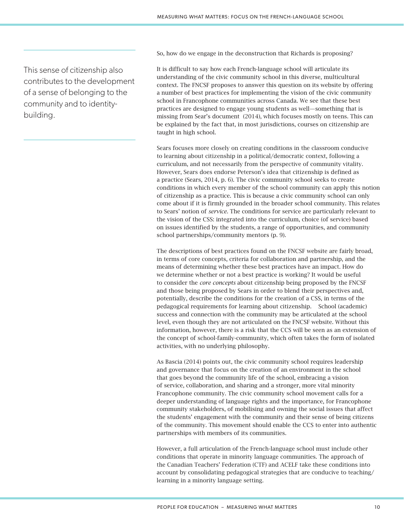This sense of citizenship also contributes to the development of a sense of belonging to the community and to identitybuilding.

So, how do we engage in the deconstruction that Richards is proposing?

It is difficult to say how each French-language school will articulate its understanding of the civic community school in this diverse, multicultural context. The FNCSF proposes to answer this question on its website by offering a number of best practices for implementing the vision of the civic community school in Francophone communities across Canada. We see that these best practices are designed to engage young students as well—something that is missing from Sear's document (2014), which focuses mostly on teens. This can be explained by the fact that, in most jurisdictions, courses on citizenship are taught in high school.

Sears focuses more closely on creating conditions in the classroom conducive to learning about citizenship in a political/democratic context, following a curriculum, and not necessarily from the perspective of community vitality. However, Sears does endorse Peterson's idea that citizenship is defined as a practice (Sears, 2014, p. 6). The civic community school seeks to create conditions in which every member of the school community can apply this notion of citizenship as a practice. This is because a civic community school can only come about if it is firmly grounded in the broader school community. This relates to Sears' notion of *service.* The conditions for service are particularly relevant to the vision of the CSS: integrated into the curriculum, choice (of service) based on issues identified by the students, a range of opportunities, and community school partnerships/community mentors (p. 9).

The descriptions of best practices found on the FNCSF website are fairly broad, in terms of core concepts, criteria for collaboration and partnership, and the means of determining whether these best practices have an impact. How do we determine whether or not a best practice is working? It would be useful to consider the *core concepts* about citizenship being proposed by the FNCSF and those being proposed by Sears in order to blend their perspectives and, potentially, describe the conditions for the creation of a CSS, in terms of the pedagogical requirements for learning about citizenship. School (academic) success and connection with the community may be articulated at the school level, even though they are not articulated on the FNCSF website. Without this information, however, there is a risk that the CCS will be seen as an extension of the concept of school-family-community, which often takes the form of isolated activities, with no underlying philosophy.

As Bascia (2014) points out, the civic community school requires leadership and governance that focus on the creation of an environment in the school that goes beyond the community life of the school, embracing a vision of service, collaboration, and sharing and a stronger, more vital minority Francophone community. The civic community school movement calls for a deeper understanding of language rights and the importance, for Francophone community stakeholders, of mobilising and owning the social issues that affect the students' engagement with the community and their sense of being citizens of the community. This movement should enable the CCS to enter into authentic partnerships with members of its communities.

However, a full articulation of the French-language school must include other conditions that operate in minority language communities. The approach of the Canadian Teachers' Federation (CTF) and ACELF take these conditions into account by consolidating pedagogical strategies that are conducive to teaching/ learning in a minority language setting.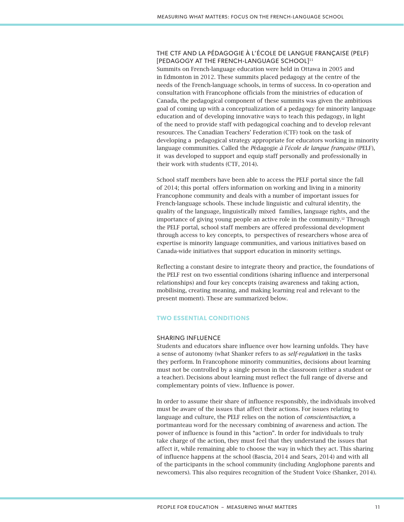# THE CTF AND LA PÉDAGOGIE À L'ÉCOLE DE LANGUE FRANÇAISE (PELF) [PEDAGOGY AT THE FRENCH-LANGUAGE SCHOOL]<sup>11</sup>

Summits on French-language education were held in Ottawa in 2005 and in Edmonton in 2012. These summits placed pedagogy at the centre of the needs of the French-language schools, in terms of success. In co-operation and consultation with Francophone officials from the ministries of education of Canada, the pedagogical component of these summits was given the ambitious goal of coming up with a conceptualization of a pedagogy for minority language education and of developing innovative ways to teach this pedagogy, in light of the need to provide staff with pedagogical coaching and to develop relevant resources. The Canadian Teachers' Federation (CTF) took on the task of developing a pedagogical strategy appropriate for educators working in minority language communities. Called the *P*édagogie *à l'école de langue française* (PELF), it was developed to support and equip staff personally and professionally in their work with students (CTF, 2014).

School staff members have been able to access the PELF portal since the fall of 2014; this portal offers information on working and living in a minority Francophone community and deals with a number of important issues for French-language schools. These include linguistic and cultural identity, the quality of the language, linguistically mixed families, language rights, and the importance of giving young people an active role in the community.<sup>12</sup> Through the PELF portal, school staff members are offered professional development through access to key concepts, to perspectives of researchers whose area of expertise is minority language communities, and various initiatives based on Canada-wide initiatives that support education in minority settings.

Reflecting a constant desire to integrate theory and practice, the foundations of the PELF rest on two essential conditions (sharing influence and interpersonal relationships) and four key concepts (raising awareness and taking action, mobilising, creating meaning, and making learning real and relevant to the present moment). These are summarized below.

## **TWO ESSENTIAL CONDITIONS**

#### SHARING INFLUENCE

Students and educators share influence over how learning unfolds. They have a sense of autonomy (what Shanker refers to as *self-regulation*) in the tasks they perform. In Francophone minority communities, decisions about learning must not be controlled by a single person in the classroom (either a student or a teacher). Decisions about learning must reflect the full range of diverse and complementary points of view. Influence is power.

In order to assume their share of influence responsibly, the individuals involved must be aware of the issues that affect their actions. For issues relating to language and culture, the PELF relies on the notion of *conscientisaction,* a portmanteau word for the necessary combining of awareness and action. The power of influence is found in this "action". In order for individuals to truly take charge of the action, they must feel that they understand the issues that affect it, while remaining able to choose the way in which they act. This sharing of influence happens at the school (Bascia, 2014 and Sears, 2014) and with all of the participants in the school community (including Anglophone parents and newcomers). This also requires recognition of the Student Voice (Shanker, 2014).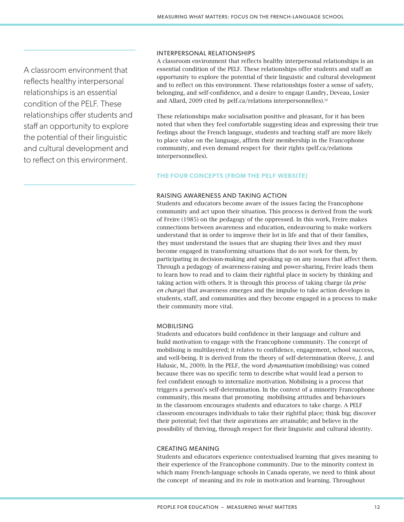A classroom environment that reflects healthy interpersonal relationships is an essential condition of the PELF. These relationships offer students and staff an opportunity to explore the potential of their linguistic and cultural development and to reflect on this environment.

# INTERPERSONAL RELATIONSHIPS

A classroom environment that reflects healthy interpersonal relationships is an essential condition of the PELF. These relationships offer students and staff an opportunity to explore the potential of their linguistic and cultural development and to reflect on this environment. These relationships foster a sense of safety, belonging, and self-confidence, and a desire to engage (Landry, Deveau, Losier and Allard, 2009 cited by pelf.ca/relations interpersonnelles).<sup>13</sup>

These relationships make socialisation positive and pleasant, for it has been noted that when they feel comfortable suggesting ideas and expressing their true feelings about the French language, students and teaching staff are more likely to place value on the language, affirm their membership in the Francophone community, and even demand respect for their rights (pelf.ca/relations interpersonnelles).

# **THE FOUR CONCEPTS (FROM THE PELF WEBSITE)**

# RAISING AWARENESS AND TAKING ACTION

Students and educators become aware of the issues facing the Francophone community and act upon their situation. This process is derived from the work of Freire (1985) on the pedagogy of the oppressed. In this work, Freire makes connections between awareness and education, endeavouring to make workers understand that in order to improve their lot in life and that of their families, they must understand the issues that are shaping their lives and they must become engaged in transforming situations that do not work for them, by participating in decision-making and speaking up on any issues that affect them. Through a pedagogy of awareness-raising and power-sharing, Freire leads them to learn how to read and to claim their rightful place in society by thinking and taking action with others. It is through this process of taking charge (*la prise en charge*) that awareness emerges and the impulse to take action develops in students, staff, and communities and they become engaged in a process to make their community more vital.

# MOBILISING

Students and educators build confidence in their language and culture and build motivation to engage with the Francophone community. The concept of mobilising is multilayered; it relates to confidence, engagement, school success, and well-being. It is derived from the theory of self-determination (Reeve, J. and Halusic, M., 2009). In the PELF, the word *dynamisation* (mobilising) was coined because there was no specific term to describe what would lead a person to feel confident enough to internalize motivation. Mobilising is a process that triggers a person's self-determination. In the context of a minority Francophone community, this means that promoting mobilising attitudes and behaviours in the classroom encourages students and educators to take charge. A PELF classroom encourages individuals to take their rightful place; think big; discover their potential; feel that their aspirations are attainable; and believe in the possibility of thriving, through respect for their linguistic and cultural identity.

## CREATING MEANING

Students and educators experience contextualised learning that gives meaning to their experience of the Francophone community. Due to the minority context in which many French-language schools in Canada operate, we need to think about the concept of meaning and its role in motivation and learning. Throughout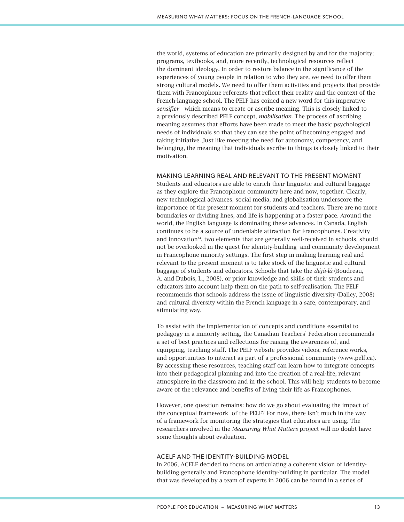the world, systems of education are primarily designed by and for the majority; programs, textbooks, and, more recently, technological resources reflect the dominant ideology. In order to restore balance in the significance of the experiences of young people in relation to who they are, we need to offer them strong cultural models. We need to offer them activities and projects that provide them with Francophone referents that reflect their reality and the context of the French-language school. The PELF has coined a new word for this imperative *sensifier—*which means to create or ascribe meaning. This is closely linked to a previously described PELF concept, *mobilisation.* The process of ascribing meaning assumes that efforts have been made to meet the basic psychological needs of individuals so that they can see the point of becoming engaged and taking initiative. Just like meeting the need for autonomy, competency, and belonging, the meaning that individuals ascribe to things is closely linked to their motivation.

## MAKING LEARNING REAL AND RELEVANT TO THE PRESENT MOMENT

Students and educators are able to enrich their linguistic and cultural baggage as they explore the Francophone community here and now, together. Clearly, new technological advances, social media, and globalisation underscore the importance of the present moment for students and teachers. There are no more boundaries or dividing lines, and life is happening at a faster pace. Around the world, the English language is dominating these advances. In Canada, English continues to be a source of undeniable attraction for Francophones. Creativity and innovation<sup>14</sup>, two elements that are generally well-received in schools, should not be overlooked in the quest for identity-building and community development in Francophone minority settings. The first step in making learning real and relevant to the present moment is to take stock of the linguistic and cultural baggage of students and educators. Schools that take the *déjà-là* (Boudreau, A. and Dubois, L., 2008), or prior knowledge and skills of their students and educators into account help them on the path to self-realisation. The PELF recommends that schools address the issue of linguistic diversity (Dalley, 2008) and cultural diversity within the French language in a safe, contemporary, and stimulating way.

To assist with the implementation of concepts and conditions essential to pedagogy in a minority setting, the Canadian Teachers' Federation recommends a set of best practices and reflections for raising the awareness of, and equipping, teaching staff. The PELF website provides videos, reference works, and opportunities to interact as part of a professional community (www.pelf.ca). By accessing these resources, teaching staff can learn how to integrate concepts into their pedagogical planning and into the creation of a real-life, relevant atmosphere in the classroom and in the school. This will help students to become aware of the relevance and benefits of living their life as Francophones.

However, one question remains: how do we go about evaluating the impact of the conceptual framework of the PELF? For now, there isn't much in the way of a framework for monitoring the strategies that educators are using. The researchers involved in the *Measuring What Matters* project will no doubt have some thoughts about evaluation.

# ACELF AND THE IDENTITY-BUILDING MODEL

In 2006, ACELF decided to focus on articulating a coherent vision of identitybuilding generally and Francophone identity-building in particular. The model that was developed by a team of experts in 2006 can be found in a series of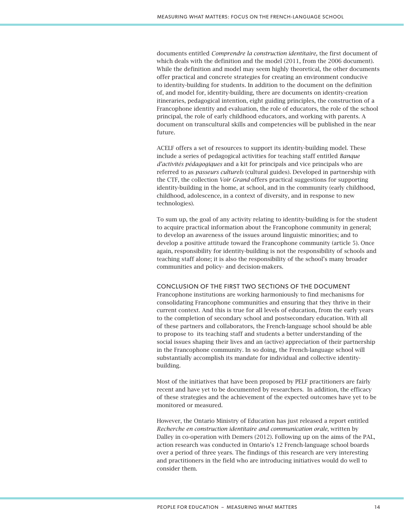documents entitled *Comprendre la construction identitaire,* the first document of which deals with the definition and the model (2011, from the 2006 document). While the definition and model may seem highly theoretical, the other documents offer practical and concrete strategies for creating an environment conducive to identity-building for students. In addition to the document on the definition of, and model for, identity-building, there are documents on identity-creation itineraries, pedagogical intention, eight guiding principles, the construction of a Francophone identity and evaluation, the role of educators, the role of the school principal, the role of early childhood educators, and working with parents. A document on transcultural skills and competencies will be published in the near future.

ACELF offers a set of resources to support its identity-building model. These include a series of pedagogical activities for teaching staff entitled *Banque d'activités pédagogiques* and a kit for principals and vice principals who are referred to as *passeurs culturels* (cultural guides). Developed in partnership with the CTF, the collection *Voir Grand* offers practical suggestions for supporting identity-building in the home, at school, and in the community (early childhood, childhood, adolescence, in a context of diversity*,* and in response to new technologies).

To sum up, the goal of any activity relating to identity-building is for the student to acquire practical information about the Francophone community in general; to develop an awareness of the issues around linguistic minorities; and to develop a positive attitude toward the Francophone community (article 5). Once again, responsibility for identity-building is not the responsibility of schools and teaching staff alone; it is also the responsibility of the school's many broader communities and policy- and decision-makers.

# CONCLUSION OF THE FIRST TWO SECTIONS OF THE DOCUMENT

Francophone institutions are working harmoniously to find mechanisms for consolidating Francophone communities and ensuring that they thrive in their current context. And this is true for all levels of education, from the early years to the completion of secondary school and postsecondary education. With all of these partners and collaborators, the French-language school should be able to propose to its teaching staff and students a better understanding of the social issues shaping their lives and an (active) appreciation of their partnership in the Francophone community. In so doing, the French-language school will substantially accomplish its mandate for individual and collective identitybuilding.

Most of the initiatives that have been proposed by PELF practitioners are fairly recent and have yet to be documented by researchers. In addition, the efficacy of these strategies and the achievement of the expected outcomes have yet to be monitored or measured.

However, the Ontario Ministry of Education has just released a report entitled *Recherche en construction identitaire and communication orale,* written by Dalley in co-operation with Demers (2012). Following up on the aims of the PAL, action research was conducted in Ontario's 12 French-language school boards over a period of three years. The findings of this research are very interesting and practitioners in the field who are introducing initiatives would do well to consider them.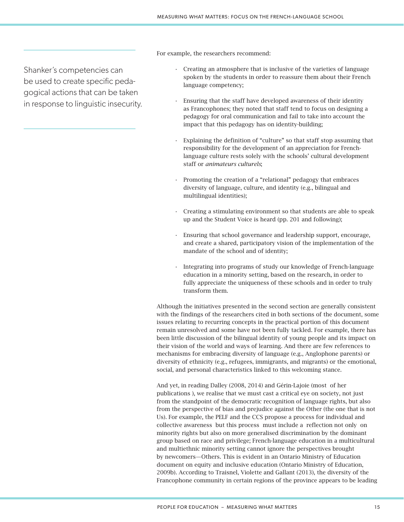Shanker's competencies can be used to create specific pedagogical actions that can be taken in response to linguistic insecurity. For example, the researchers recommend:

- Creating an atmosphere that is inclusive of the varieties of language spoken by the students in order to reassure them about their French language competency;
- Ensuring that the staff have developed awareness of their identity as Francophones; they noted that staff tend to focus on designing a pedagogy for oral communication and fail to take into account the impact that this pedagogy has on identity-building;
- Explaining the definition of "culture" so that staff stop assuming that responsibility for the development of an appreciation for Frenchlanguage culture rests solely with the schools' cultural development staff or *animateurs culturels*;
- Promoting the creation of a "relational" pedagogy that embraces diversity of language, culture, and identity (e.g., bilingual and multilingual identities);
- Creating a stimulating environment so that students are able to speak up and the Student Voice is heard (pp. 201 and following);
- Ensuring that school governance and leadership support, encourage, and create a shared, participatory vision of the implementation of the mandate of the school and of identity;
- Integrating into programs of study our knowledge of French-language education in a minority setting, based on the research, in order to fully appreciate the uniqueness of these schools and in order to truly transform them.

Although the initiatives presented in the second section are generally consistent with the findings of the researchers cited in both sections of the document, some issues relating to recurring concepts in the practical portion of this document remain unresolved and some have not been fully tackled. For example, there has been little discussion of the bilingual identity of young people and its impact on their vision of the world and ways of learning. And there are few references to mechanisms for embracing diversity of language (e.g., Anglophone parents) or diversity of ethnicity (e.g., refugees, immigrants, and migrants) or the emotional, social, and personal characteristics linked to this welcoming stance.

And yet, in reading Dalley (2008, 2014) and Gérin-Lajoie (most of her publications ), we realise that we must cast a critical eye on society, not just from the standpoint of the democratic recognition of language rights, but also from the perspective of bias and prejudice against the Other (the one that is not Us). For example, the PELF and the CCS propose a process for individual and collective awareness but this process must include a reflection not only on minority rights but also on more generalised discrimination by the dominant group based on race and privilege; French-language education in a multicultural and multiethnic minority setting cannot ignore the perspectives brought by newcomers—Others. This is evident in an Ontario Ministry of Education document on equity and inclusive education (Ontario Ministry of Education, 2009b). According to Traisnel, Violette and Gallant (2013), the diversity of the Francophone community in certain regions of the province appears to be leading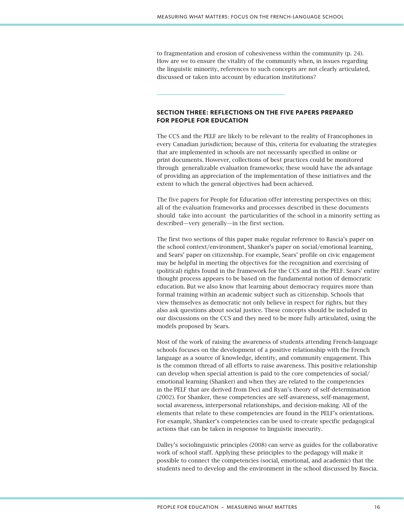to fragmentation and erosion of cohesiveness within the community (p. 24). How are we to ensure the vitality of the community when, in issues regarding the linguistic minority, references to such concepts are not clearly articulated, discussed or taken into account by education institutions?

# **SECTION THREE: REFLECTIONS ON THE FIVE PAPERS PREPARED FOR PEOPLE FOR EDUCATION**

The CCS and the PELF are likely to be relevant to the reality of Francophones in every Canadian jurisdiction; because of this, criteria for evaluating the strategies that are implemented in schools are not necessarily specified in online or print documents. However, collections of best practices could be monitored through generalizable evaluation frameworks; these would have the advantage of providing an appreciation of the implementation of these initiatives and the extent to which the general objectives had been achieved.

The five papers for People for Education offer interesting perspectives on this; all of the evaluation frameworks and processes described in these documents should take into account the particularities of the school in a minority setting as described—very generally—in the first section.

The first two sections of this paper make regular reference to Bascia's paper on the school context/environment, Shanker's paper on social/emotional learning, and Sears' paper on citizenship. For example, Sears' profile on civic engagement may be helpful in meeting the objectives for the recognition and exercising of (political) rights found in the framework for the CCS and in the PELF. Sears' entire thought process appears to be based on the fundamental notion of democratic education. But we also know that learning about democracy requires more than formal training within an academic subject such as citizenship. Schools that view themselves as democratic not only believe in respect for rights, but they also ask questions about social justice. These concepts should be included in our discussions on the CCS and they need to be more fully articulated, using the models proposed by Sears.

Most of the work of raising the awareness of students attending French-language schools focuses on the development of a positive relationship with the French language as a source of knowledge, identity, and community engagement. This is the common thread of all efforts to raise awareness. This positive relationship can develop when special attention is paid to the core competencies of social/ emotional learning (Shanker) and when they are related to the competencies in the PELF that are derived from Deci and Ryan's theory of self-determination (2002). For Shanker, these competencies are self-awareness, self-management, social awareness, interpersonal relationships, and decision-making. All of the elements that relate to these competencies are found in the PELF's orientations. For example, Shanker's competencies can be used to create specific pedagogical actions that can be taken in response to linguistic insecurity.

Dalley's sociolinguistic principles (2008) can serve as guides for the collaborative work of school staff. Applying these principles to the pedagogy will make it possible to connect the competencies (social, emotional, and academic) that the students need to develop and the environment in the school discussed by Bascia.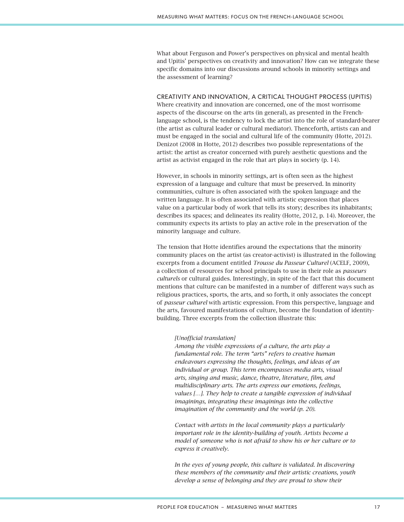What about Ferguson and Power's perspectives on physical and mental health and Upitis' perspectives on creativity and innovation? How can we integrate these specific domains into our discussions around schools in minority settings and the assessment of learning?

#### CREATIVITY AND INNOVATION, A CRITICAL THOUGHT PROCESS (UPITIS)

Where creativity and innovation are concerned, one of the most worrisome aspects of the discourse on the arts (in general), as presented in the Frenchlanguage school, is the tendency to lock the artist into the role of standard-bearer (the artist as cultural leader or cultural mediator). Thenceforth, artists can and must be engaged in the social and cultural life of the community (Hotte, 2012). Denizot (2008 in Hotte, 2012) describes two possible representations of the artist: the artist as creator concerned with purely aesthetic questions and the artist as activist engaged in the role that art plays in society (p. 14).

However, in schools in minority settings, art is often seen as the highest expression of a language and culture that must be preserved. In minority communities, culture is often associated with the spoken language and the written language. It is often associated with artistic expression that places value on a particular body of work that tells its story; describes its inhabitants; describes its spaces; and delineates its reality (Hotte, 2012, p. 14). Moreover, the community expects its artists to play an active role in the preservation of the minority language and culture.

The tension that Hotte identifies around the expectations that the minority community places on the artist (as creator-activist) is illustrated in the following excerpts from a document entitled *Trousse du Passeur Culturel* (ACELF, 2009), a collection of resources for school principals to use in their role as *passeurs culturels* or cultural guides. Interestingly, in spite of the fact that this document mentions that culture can be manifested in a number of different ways such as religious practices, sports, the arts, and so forth, it only associates the concept of *passeur culturel* with artistic expression. From this perspective, language and the arts, favoured manifestations of culture, become the foundation of identitybuilding. Three excerpts from the collection illustrate this:

#### *[Unofficial translation]*

*Among the visible expressions of a culture, the arts play a fundamental role. The term "arts" refers to creative human endeavours expressing the thoughts, feelings, and ideas of an individual or group. This term encompasses media arts, visual arts, singing and music, dance, theatre, literature, film, and multidisciplinary arts. The arts express our emotions, feelings, values […]. They help to create a tangible expression of individual imaginings, integrating these imaginings into the collective imagination of the community and the world (p. 20).* 

*Contact with artists in the local community plays a particularly important role in the identity-building of youth. Artists become a model of someone who is not afraid to show his or her culture or to express it creatively.*

*In the eyes of young people, this culture is validated. In discovering these members of the community and their artistic creations, youth develop a sense of belonging and they are proud to show their*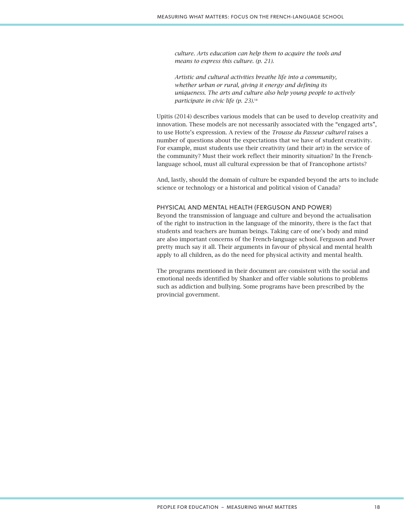*culture. Arts education can help them to acquire the tools and means to express this culture. (p. 21).*

*Artistic and cultural activities breathe life into a community, whether urban or rural, giving it energy and defining its uniqueness. The arts and culture also help young people to actively participate in civic life (p. 23).*<sup>14</sup>

Upitis (2014) describes various models that can be used to develop creativity and innovation. These models are not necessarily associated with the "engaged arts", to use Hotte's expression. A review of the *Trousse du Passeur culturel* raises a number of questions about the expectations that we have of student creativity. For example, must students use their creativity (and their art) in the service of the community? Must their work reflect their minority situation? In the Frenchlanguage school, must all cultural expression be that of Francophone artists?

And, lastly, should the domain of culture be expanded beyond the arts to include science or technology or a historical and political vision of Canada?

#### PHYSICAL AND MENTAL HEALTH (FERGUSON AND POWER)

Beyond the transmission of language and culture and beyond the actualisation of the right to instruction in the language of the minority, there is the fact that students and teachers are human beings. Taking care of one's body and mind are also important concerns of the French-language school. Ferguson and Power pretty much say it all. Their arguments in favour of physical and mental health apply to all children, as do the need for physical activity and mental health.

The programs mentioned in their document are consistent with the social and emotional needs identified by Shanker and offer viable solutions to problems such as addiction and bullying. Some programs have been prescribed by the provincial government.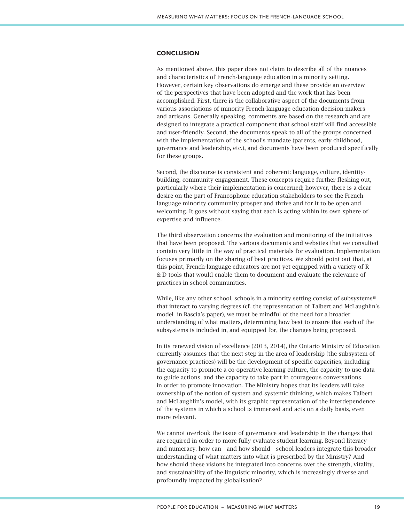#### **CONCLUSION**

As mentioned above, this paper does not claim to describe all of the nuances and characteristics of French-language education in a minority setting. However, certain key observations do emerge and these provide an overview of the perspectives that have been adopted and the work that has been accomplished. First, there is the collaborative aspect of the documents from various associations of minority French-language education decision-makers and artisans. Generally speaking, comments are based on the research and are designed to integrate a practical component that school staff will find accessible and user-friendly. Second, the documents speak to all of the groups concerned with the implementation of the school's mandate (parents, early childhood, governance and leadership, etc.), and documents have been produced specifically for these groups.

Second, the discourse is consistent and coherent: language, culture, identitybuilding, community engagement. These concepts require further fleshing out, particularly where their implementation is concerned; however, there is a clear desire on the part of Francophone education stakeholders to see the French language minority community prosper and thrive and for it to be open and welcoming. It goes without saying that each is acting within its own sphere of expertise and influence.

The third observation concerns the evaluation and monitoring of the initiatives that have been proposed. The various documents and websites that we consulted contain very little in the way of practical materials for evaluation. Implementation focuses primarily on the sharing of best practices. We should point out that, at this point, French-language educators are not yet equipped with a variety of R & D tools that would enable them to document and evaluate the relevance of practices in school communities.

While, like any other school, schools in a minority setting consist of subsystems<sup>15</sup> that interact to varying degrees (cf. the representation of Talbert and McLaughlin's model in Bascia's paper), we must be mindful of the need for a broader understanding of what matters, determining how best to ensure that each of the subsystems is included in, and equipped for, the changes being proposed.

In its renewed vision of excellence (2013, 2014), the Ontario Ministry of Education currently assumes that the next step in the area of leadership (the subsystem of governance practices) will be the development of specific capacities, including the capacity to promote a co-operative learning culture, the capacity to use data to guide actions, and the capacity to take part in courageous conversations in order to promote innovation. The Ministry hopes that its leaders will take ownership of the notion of system and systemic thinking, which makes Talbert and McLaughlin's model, with its graphic representation of the interdependence of the systems in which a school is immersed and acts on a daily basis, even more relevant.

We cannot overlook the issue of governance and leadership in the changes that are required in order to more fully evaluate student learning. Beyond literacy and numeracy, how can—and how should—school leaders integrate this broader understanding of what matters into what is prescribed by the Ministry? And how should these visions be integrated into concerns over the strength, vitality, and sustainability of the linguistic minority, which is increasingly diverse and profoundly impacted by globalisation?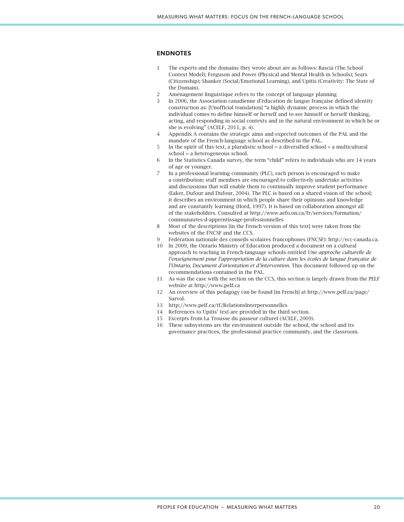#### **ENDNOTES**

- 1 The experts and the domains they wrote about are as follows: Bascia (The School Context Model); Ferguson and Power (Physical and Mental Health in Schools); Sears (Citizenship); Shanker (Social/Emotional Learning), and Upitis (Creativity: The State of the Domain).
- 2 Aménagement linguistique refers to the concept of language planning
- 3 In 2006, the Association canadienne d'éducation de langue française defined identity construction as: [Unofficial translation] "a highly dynamic process in which the individual comes to define himself or herself and to see himself or herself thinking, acting, and responding in social contexts and in the natural environment in which he or she is evolving" (ACELF, 2011, p. 4).
- 4 Appendix A contains the strategic aims and expected outcomes of the PAL and the mandate of the French-language school as described in the PAL.
- 5 In the spirit of this text, a pluralistic school = a diversified school = a multicultural school = a heterogeneous school.
- 6 In the Statistics Canada survey, the term "child" refers to individuals who are 14 years of age or younger.
- 7 In a professional learning community (PLC), each person is encouraged to make a contribution; staff members are encouraged to collectively undertake activities and discussions that will enable them to continually improve student performance (Eaker, Dufour and Dufour, 2004). The PLC is based on a shared vision of the school; it describes an environment in which people share their opinions and knowledge and are constantly learning (Hord, 1997). It is based on collaboration amongst all of the stakeholders. Consulted at http://www.aefo.on.ca/fr/services/formation/ communautes-d-apprentissage-professionnelles
- 8 Most of the descriptions [in the French version of this text] were taken from the websites of the FNCSF and the CCS.
- 9 Fédération nationale des conseils scolaires francophones (FNCSF): http://ecc-canada.ca.
- 10 In 2009, the Ontario Ministry of Education produced a document on a cultural approach to teaching in French-language schools entitled *Une approche culturelle de l'enseignement pour l'appropriation de la culture dans les écoles de langue française de l'Ontario, Document d'orientation et d'intervention*. This document followed up on the recommendations contained in the PAL.
- 11 As was the case with the section on the CCS, this section is largely drawn from the PELF website at http://www.pelf.ca
- 12 An overview of this pedagogy can be found [in French] at http://www.pelf.ca/page/ Survol.
- 13 http://www.pelf.ca/tf/RelationsInterpersonnelles
- 14 References to Upitis' text are provided in the third section.
- 15 Excerpts from La Trousse du passeur culturel (ACELF, 2009).
- 16 These subsystems are the environment outside the school, the school and its governance practices, the professional practice community, and the classroom.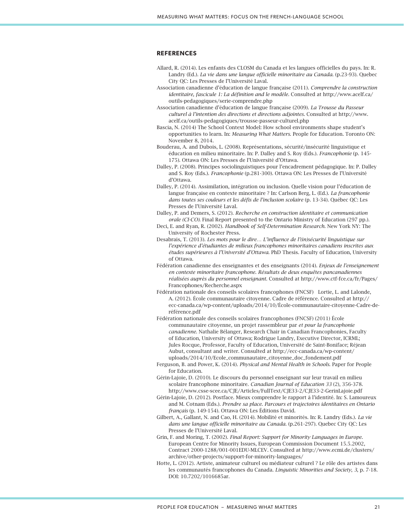## **REFERENCES**

- Allard, R. (2014). Les enfants des CLOSM du Canada et les langues officielles du pays. In: R. Landry (Ed.). *La vie dans une langue officielle minoritaire au Canada.* (p.23-93). Quebec City QC: Les Presses de l'Université Laval.
- Association canadienne d'éducation de langue française (2011). *Comprendre la construction identitaire, fascicule 1: La définition and le modèle.* Consulted at http://www.acelf.ca/ outils-pedagogiques/serie-comprendre.php
- Association canadienne d'éducation de langue française (2009). *La Trousse du Passeur culturel à l'intention des directions et directions adjointes*. Consulted at http://www. acelf.ca/outils-pedagogiques/trousse-passeur-culturel.php
- Bascia, N. (2014) The School Context Model: How school environments shape student's opportunities to learn. In: *Measuring What Matters*. People for Education*.* Toronto ON: November 8, 2014.
- Bouderau, A. and Dubois, L. (2008). Représentations, sécurité/insécurité linguistique et éducation en milieu minoritaire. In: P. Dalley and S. Roy (Eds.). *Francophonie* (p. 145- 175). Ottawa ON: Les Presses de l'Université d'Ottawa.
- Dalley, P. (2008). Principes sociolinguistiques pour l'encadrement pédagogique. In: P. Dalley and S. Roy (Eds.). *Francophonie* (p.281-300). Ottawa ON: Les Presses de l'Université d'Ottawa.
- Dalley, P. (2014). Assimilation, intégration ou inclusion. Quelle vision pour l'éducation de langue française en contexte minoritaire ? In: Carlson Berg, L. (Ed.). *La francophonie dans toutes ses couleurs et les défis de l'inclusion scolaire* (p. 13-34). Québec QC: Les Presses de l'Université Laval.
- Dalley, P. and Demers, S. (2012). *Recherche en construction identitaire et communication orale (CI-CO).* Final Report presented to the Ontario Ministry of Education (297 pp.).
- Deci, E. and Ryan, R. (2002). *Handbook of Self-Determination Research.* New York NY: The University of Rochester Press.
- Desabrais, T. (2013). *Les mots pour le dire… L'influence de l'(in)sécurité linguistique sur l'expérience d'étudiantes de milieux francophones minoritaires canadiens inscrites aux études supérieures à l'Université d'Ottawa.* PhD Thesis. Faculty of Education, University of Ottawa.
- Fédération canadienne des enseignantes et des enseignants (2014). *Enjeux de l'enseignement en contexte minoritaire francophone. Résultats de deux enquêtes pancanadiennes réalisées auprès du personnel enseignant.* Consulted at http://www.ctf-fce.ca/fr/Pages/ Francophones/Recherche.aspx
- Fédération nationale des conseils scolaires francophones (FNCSF) Lortie, L. and Lalonde, A. (2012). École communautaire citoyenne. Cadre de référence. Consulted at http:// ecc-canada.ca/wp-content/uploads/2014/10/École-communautaire-citoyenne-Cadre-deréférence.pdf
- Fédération nationale des conseils scolaires francophones (FNCSF) (2011) École communautaire citoyenne, un projet rassembleur par *et pour la francophonie canadienne*. Nathalie Bélanger, Research Chair in Canadian Francophonies, Faculty of Education, University of Ottawa; Rodrigue Landry, Executive Director, ICRML; Jules Rocque, Professor, Faculty of Education, Université de Saint-Boniface; Réjean Aubut, consultant and writer. Consulted at http://ecc-canada.ca/wp-content/ uploads/2014/10/Ecole\_communautaire\_citoyenne\_doc\_fondement.pdf
- Ferguson, B. and Power, K. (2014). *Physical and Mental Health in Schools*. Paper for People for Education.
- Gérin-Lajoie, D. (2010). Le discours du personnel enseignant sur leur travail en milieu scolaire francophone minoritaire. *Canadian Journal of Education 33* (2), 356-378. http://www.csse-scee.ca/CJE/Articles/FullText/CJE33-2/CJE33-2-GerinLajoie.pdf
- Gérin-Lajoie, D. (2012). Postface. Mieux comprendre le rapport à l'identité. In: S. Lamoureux and M. Cotnam (Eds.). *Prendre sa place. Parcours et trajectoires identitaires en Ontario français* (p. 149-154). Ottawa ON: Les Éditions David.
- Gilbert, A., Gallant, N. and Cao, H. (2014). Mobilité et minorités. In: R. Landry (Eds.). *La vie*  dans une langue officielle minoritaire au Canada. (p.261-297). Quebec City QC: Les Presses de l'Université Laval.
- Grin, F. and Moring, T. (2002). *Final Report: Support for Minority Languages in Europe.* European Centre for Minority Issues, European Commission Document 15.5.2002, Contract 2000-1288/001-001EDU-MLCEV*.* Consulted at http://www.ecmi.de/clusters/ archive/other-projects/support-for-minority-languages/
- Hotte, L. (2012). Artiste, animateur culturel ou médiateur culturel ? Le rôle des artistes dans les communautés francophones du Canada. *Linguistic Minorities and Society*, *3*, p. 7-18. DOI: 10.7202/1016685ar.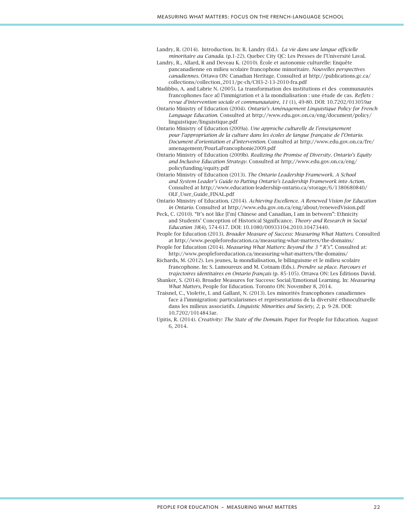Landry, R. (2014). Introduction. In: R. Landry (Ed.). *La vie dans une langue officielle minoritaire au Canada*. (p.1-22). Quebec City QC: Les Presses de l'Université Laval.

- Landry, R., Allard, R and Deveau K. (2010). École et autonomie culturelle: Enquête pancanadienne en milieu scolaire francophone minoritaire. *Nouvelles perspectives canadiennes.* Ottawa ON: Canadian Heritage. Consulted at http://publications.gc.ca/ collections/collection\_2011/pc-ch/CH3-2-13-2010-fra.pdf
- Madibbo, A. and Labrie N. (2005). La transformation des institutions et des communautés francophones face all l'immigration et à la mondialisation : une étude de cas. *Reflets : revue d'intervention sociale et communautaire*, *11* (1), 49-80. DOI: 10.7202/013059ar
- Ontario Ministry of Education (2004). *Ontario's Aménagement Linguistique Policy for French Language Education*. Consulted at http://www.edu.gov.on.ca/eng/document/policy/ linguistique/linguistique.pdf
- Ontario Ministry of Education (2009a). *Une approche culturelle de l'enseignement pour l'appropriation de la culture dans les écoles de langue française de l'Ontario. Document d'orientation et d'intervention.* Consulted at http://www.edu.gov.on.ca/fre/ amenagement/PourLaFrancophonie2009.pdf
- Ontario Ministry of Education (2009b). *Realizing the Promise of Diversity. Ontario's Equity and Inclusive Education Strategy*. Consulted at http://www.edu.gov.on.ca/eng/ policyfunding/equity.pdf
- Ontario Ministry of Education (2013). *The Ontario Leadership Framework. A School and System Leader's Guide to Putting Ontario's Leadership Framework into Action*. Consulted at http://www.education-leadership-ontario.ca/storage/6/1380680840/ OLF\_User\_Guide\_FINAL.pdf
- Ontario Ministry of Education. (2014). *Achieving Excellence. A Renewed Vision for Education in Ontario*. Consulted at http://www.edu.gov.on.ca/eng/about/renewedVision.pdf
- Peck, C. (2010). "It's not like [I'm] Chinese and Canadian, I am in between": Ethnicity and Students' Conception of Historical Significance. *Theory and Research in Social Education 38*(4), 574-617. DOI: 10.1080/00933104.2010.10473440.
- People for Education (2013). *Broader Measure of Success: Measuring What Matters*. Consulted at http://www.peopleforeducation.ca/measuring-what-matters/the-domains/
- People for Education (2014). *Measuring What Matters: Beyond the 3 " R's".* Consulted at: http://www.peopleforeducation.ca/measuring-what-matters/the-domains/
- Richards, M. (2012). Les jeunes, la mondialisation, le bilinguisme et le milieu scolaire francophone. In: S. Lamoureux and M. Cotnam (Eds.). *Prendre sa place. Parcours et trajectoires identitaires en Ontario français* (p. 85-105). Ottawa ON: Les Éditions David.
- Shanker, S. (2014). Broader Measures for Success: Social/Emotional Learning. In: *Measuring What Matters*, People for Education. Toronto ON: November 8, 2014.
- Traisnel, C., Violette, I. and Gallant, N. (2013). Les minorités francophones canadiennes face à l'immigration: particularismes et représentations de la diversité ethnoculturelle dans les milieux associatifs. *Linguistic Minorities and Society, 2*, p. 9-28. DOI: 10.7202/1014843ar.
- Upitis, R. (2014). *Creativity: The State of the Domain.* Paper for People for Education. August 6, 2014.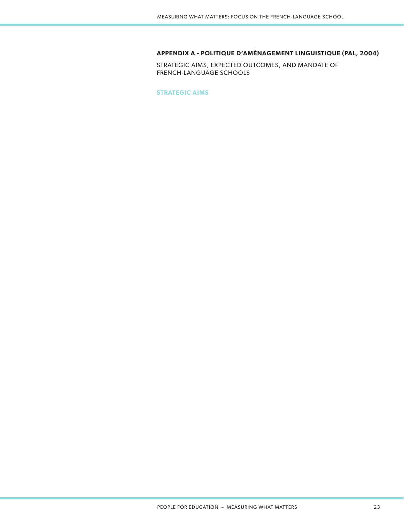# **APPENDIX A - POLITIQUE D'AMÉNAGEMENT LINGUISTIQUE (PAL, 2004)**

STRATEGIC AIMS, EXPECTED OUTCOMES, AND MANDATE OF FRENCH-LANGUAGE SCHOOLS

**STRATEGIC AIMS**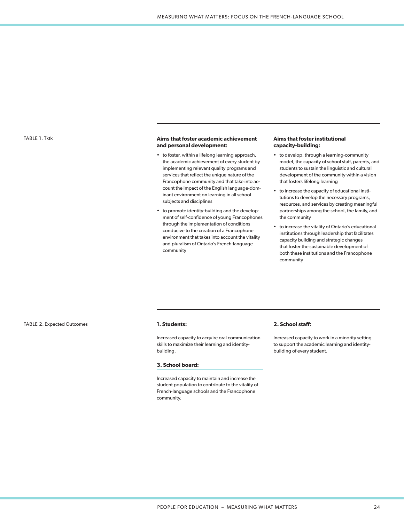

#### **Aims that foster academic achievement and personal development:**

- to foster, within a lifelong learning approach, the academic achievement of every student by implementing relevant quality programs and services that reflect the unique nature of the Francophone community and that take into account the impact of the English language-dominant environment on learning in all school subjects and disciplines
- to promote identity-building and the development of self-confidence of young Francophones through the implementation of conditions conducive to the creation of a Francophone environment that takes into account the vitality and pluralism of Ontario's French-language community

#### **Aims that foster institutional capacity-building:**

- to develop, through a learning-community model, the capacity of school staff, parents, and students to sustain the linguistic and cultural development of the community within a vision that fosters lifelong learning
- to increase the capacity of educational institutions to develop the necessary programs, resources, and services by creating meaningful partnerships among the school, the family, and the community
- to increase the vitality of Ontario's educational institutions through leadership that facilitates capacity building and strategic changes that foster the sustainable development of both these institutions and the Francophone community

#### TABLE 2. Expected Outcomes **1. Students:**

Increased capacity to acquire oral communication skills to maximize their learning and identitybuilding.

#### **3. School board:**

Increased capacity to maintain and increase the student population to contribute to the vitality of French-language schools and the Francophone community.

#### **2. School staff:**

Increased capacity to work in a minority setting to support the academic learning and identitybuilding of every student.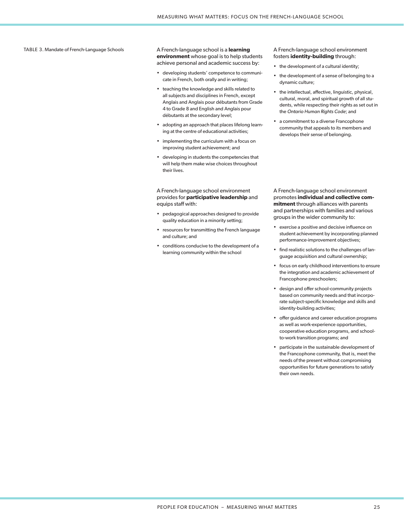#### TABLE 3. Mandate of French-Language Schools

A French-language school is a **learning environment** whose goal is to help students achieve personal and academic success by:

- developing students' competence to communicate in French, both orally and in writing;
- teaching the knowledge and skills related to all subjects and disciplines in French, except Anglais and Anglais pour débutants from Grade 4 to Grade 8 and English and Anglais pour débutants at the secondary level;
- adopting an approach that places lifelong learning at the centre of educational activities;
- implementing the curriculum with a focus on improving student achievement; and
- developing in students the competencies that will help them make wise choices throughout their lives.

A French-language school environment provides for **participative leadership** and equips staff with:

- pedagogical approaches designed to provide quality education in a minority setting;
- resources for transmitting the French language and culture; and
- conditions conducive to the development of a learning community within the school

A French-language school environment fosters **identity-building** through:

- the development of a cultural identity;
- the development of a sense of belonging to a dynamic culture;
- the intellectual, affective, linguistic, physical, cultural, moral, and spiritual growth of all students, while respecting their rights as set out in the *Ontario Human Rights Code*; and
- a commitment to a diverse Francophone community that appeals to its members and develops their sense of belonging.

A French-language school environment promotes **individual and collective commitment** through alliances with parents and partnerships with families and various groups in the wider community to:

- exercise a positive and decisive influence on student achievement by incorporating planned performance-improvement objectives;
- find realistic solutions to the challenges of language acquisition and cultural ownership;
- focus on early childhood interventions to ensure the integration and academic achievement of Francophone preschoolers;
- design and offer school-community projects based on community needs and that incorporate subject-specific knowledge and skills and identity-building activities;
- offer guidance and career education programs as well as work-experience opportunities, cooperative education programs, and schoolto-work transition programs; and
- participate in the sustainable development of the Francophone community, that is, meet the needs of the present without compromising opportunities for future generations to satisfy their own needs.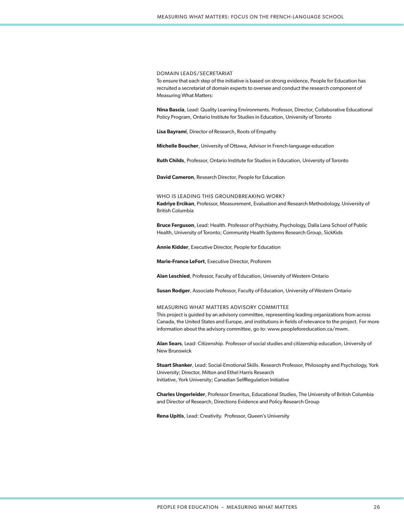#### DOMAIN LEADS/SECRETARIAT

To ensure that each step of the initiative is based on strong evidence, People for Education has recruited a secretariat of domain experts to oversee and conduct the research component of Measuring What Matters:

**Nina Bascia**, Lead: Quality Learning Environments. Professor, Director, Collaborative Educational Policy Program, Ontario Institute for Studies in Education, University of Toronto

**Lisa Bayrami**, Director of Research, Roots of Empathy

**Michelle Boucher**, University of Ottawa, Advisor in French-language education

**Ruth Childs**, Professor, Ontario Institute for Studies in Education, University of Toronto

**David Cameron**, Research Director, People for Education

WHO IS LEADING THIS GROUNDBREAKING WORK? **Kadriye Ercikan**, Professor, Measurement, Evaluation and Research Methodology, University of British Columbia

**Bruce Ferguson**, Lead: Health. Professor of Psychiatry, Psychology, Dalla Lana School of Public Health, University of Toronto; Community Health Systems Research Group, SickKids

**Annie Kidder**, Executive Director, People for Education

**Marie-France LeFort**, Executive Director, Proforem

**Alan Leschied**, Professor, Faculty of Education, University of Western Ontario

**Susan Rodger**, Associate Professor, Faculty of Education, University of Western Ontario

MEASURING WHAT MATTERS ADVISORY COMMITTEE

This project is guided by an advisory committee, representing leading organizations from across Canada, the United States and Europe, and institutions in fields of relevance to the project. For more information about the advisory committee, go to: www.peopleforeducation.ca/mwm.

**Alan Sears**, Lead: Citizenship. Professor of social studies and citizenship education, University of New Brunswick

**Stuart Shanker**, Lead: Social-Emotional Skills. Research Professor, Philosophy and Psychology, York University; Director, Milton and Ethel Harris Research Initiative, York University; Canadian SelfRegulation Initiative

**Charles Ungerleider**, Professor Emeritus, Educational Studies, The University of British Columbia and Director of Research, Directions Evidence and Policy Research Group

**Rena Upitis**, Lead: Creativity. Professor, Queen's University